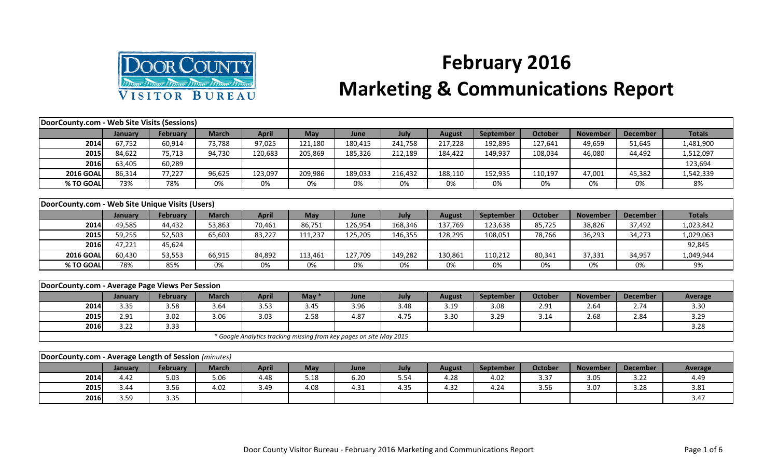

## **February 2016 Marketing & Communications Report**

| DoorCounty.com - Web Site Visits (Sessions)          |         |                 |              |                                                                     |         |         |         |               |                  |                |                 |                 |                |
|------------------------------------------------------|---------|-----------------|--------------|---------------------------------------------------------------------|---------|---------|---------|---------------|------------------|----------------|-----------------|-----------------|----------------|
|                                                      | January | February        | <b>March</b> | <b>April</b>                                                        | May     | June    | July    | <b>August</b> | September        | <b>October</b> | <b>November</b> | <b>December</b> | <b>Totals</b>  |
| 2014                                                 | 67,752  | 60,914          | 73,788       | 97,025                                                              | 121,180 | 180,415 | 241,758 | 217,228       | 192,895          | 127,641        | 49,659          | 51,645          | 1,481,900      |
| 2015                                                 | 84,622  | 75,713          | 94,730       | 120,683                                                             | 205,869 | 185,326 | 212,189 | 184,422       | 149,937          | 108,034        | 46,080          | 44,492          | 1,512,097      |
| 2016                                                 | 63,405  | 60,289          |              |                                                                     |         |         |         |               |                  |                |                 |                 | 123,694        |
| <b>2016 GOAL</b>                                     | 86,314  | 77,227          | 96,625       | 123,097                                                             | 209,986 | 189,033 | 216,432 | 188,110       | 152,935          | 110,197        | 47,001          | 45,382          | 1,542,339      |
| % TO GOAL                                            | 73%     | 78%             | 0%           | 0%                                                                  | 0%      | 0%      | 0%      | 0%            | 0%               | 0%             | 0%              | 0%              | 8%             |
|                                                      |         |                 |              |                                                                     |         |         |         |               |                  |                |                 |                 |                |
| DoorCounty.com - Web Site Unique Visits (Users)      |         |                 |              |                                                                     |         |         |         |               |                  |                |                 |                 |                |
|                                                      | January | <b>February</b> | <b>March</b> | <b>April</b>                                                        | May     | June    | July    | <b>August</b> | September        | <b>October</b> | <b>November</b> | <b>December</b> | <b>Totals</b>  |
| 2014                                                 | 49,585  | 44,432          | 53,863       | 70,461                                                              | 86,751  | 126,954 | 168,346 | 137,769       | 123,638          | 85,725         | 38,826          | 37,492          | 1,023,842      |
| 2015                                                 | 59,255  | 52,503          | 65,603       | 83,227                                                              | 111,237 | 125,205 | 146,355 | 128,295       | 108,051          | 78,766         | 36,293          | 34,273          | 1,029,063      |
| 2016                                                 | 47,221  | 45,624          |              |                                                                     |         |         |         |               |                  |                |                 |                 | 92,845         |
| <b>2016 GOAL</b>                                     | 60,430  | 53,553          | 66,915       | 84,892                                                              | 113,461 | 127,709 | 149,282 | 130,861       | 110,212          | 80,341         | 37,331          | 34,957          | 1,049,944      |
| % TO GOAL                                            | 78%     | 85%             | 0%           | 0%                                                                  | 0%      | 0%      | 0%      | 0%            | 0%               | 0%             | 0%              | 0%              | 9%             |
|                                                      |         |                 |              |                                                                     |         |         |         |               |                  |                |                 |                 |                |
| DoorCounty.com - Average Page Views Per Session      |         |                 |              |                                                                     |         |         |         |               |                  |                |                 |                 |                |
|                                                      | January | February        | <b>March</b> | <b>April</b>                                                        | May $*$ | June    | July    | <b>August</b> | <b>September</b> | October        | <b>November</b> | <b>December</b> | Average        |
| 2014                                                 | 3.35    | 3.58            | 3.64         | 3.53                                                                | 3.45    | 3.96    | 3.48    | 3.19          | 3.08             | 2.91           | 2.64            | 2.74            | 3.30           |
| 2015                                                 | 2.91    | 3.02            | 3.06         | 3.03                                                                | 2.58    | 4.87    | 4.75    | 3.30          | 3.29             | 3.14           | 2.68            | 2.84            | 3.29           |
| 2016                                                 | 3.22    | 3.33            |              |                                                                     |         |         |         |               |                  |                |                 |                 | 3.28           |
|                                                      |         |                 |              | * Google Analytics tracking missing from key pages on site May 2015 |         |         |         |               |                  |                |                 |                 |                |
|                                                      |         |                 |              |                                                                     |         |         |         |               |                  |                |                 |                 |                |
| DoorCounty.com - Average Length of Session (minutes) |         |                 |              |                                                                     |         |         |         |               |                  |                |                 |                 |                |
|                                                      | January | February        | <b>March</b> | <b>April</b>                                                        | May     | June    | July    | <b>August</b> | September        | October        | <b>November</b> | <b>December</b> | <b>Average</b> |
| 2014                                                 | 4.42    | 5.03            | 5.06         | 4.48                                                                | 5.18    | 6.20    | 5.54    | 4.28          | 4.02             | 3.37           | 3.05            | 3.22            | 4.49           |
| 2015                                                 | 3.44    | 3.56            | 4.02         | 3.49                                                                | 4.08    | 4.31    | 4.35    | 4.32          | 4.24             | 3.56           | 3.07            | 3.28            | 3.81           |
| 2016                                                 | 3.59    | 3.35            |              |                                                                     |         |         |         |               |                  |                |                 |                 | 3.47           |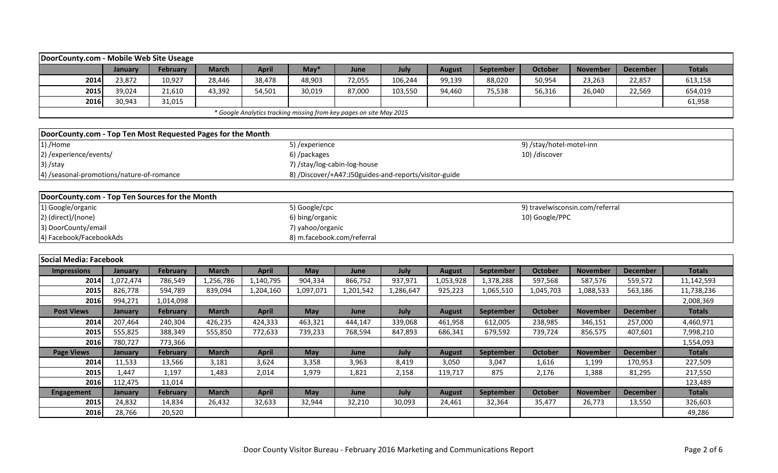| DoorCounty.com - Mobile Web Site Useage |                                                                                                                                          |          |              |              |                                                                     |             |         |               |           |                |                 |                 |               |  |  |
|-----------------------------------------|------------------------------------------------------------------------------------------------------------------------------------------|----------|--------------|--------------|---------------------------------------------------------------------|-------------|---------|---------------|-----------|----------------|-----------------|-----------------|---------------|--|--|
|                                         | January                                                                                                                                  | February | <b>March</b> | <b>April</b> | $May*$                                                              | <b>June</b> | July    | <b>August</b> | September | <b>October</b> | <b>November</b> | <b>December</b> | <b>Totals</b> |  |  |
| 2014                                    | 23,872                                                                                                                                   | 10,927   | 28,446       | 38,478       | 48,903                                                              | 72,055      | 106,244 | 99,139        | 88,020    | 50,954         | 23,263          | 22,857          | 613,158       |  |  |
|                                         | 39,024<br>87,000<br>43,392<br>30,019<br>94,460<br>26,040<br>654,019<br>21,610<br>54,501<br>103,550<br>75,538<br>56,316<br>2015<br>22,569 |          |              |              |                                                                     |             |         |               |           |                |                 |                 |               |  |  |
| 2016                                    | 30,943                                                                                                                                   | 31,015   |              |              |                                                                     |             |         |               |           |                |                 |                 | 61,958        |  |  |
|                                         |                                                                                                                                          |          |              |              | * Google Analytics tracking missing from key pages on site May 2015 |             |         |               |           |                |                 |                 |               |  |  |
|                                         |                                                                                                                                          |          |              |              |                                                                     |             |         |               |           |                |                 |                 |               |  |  |

| DoorCounty.com - Top Ten Most Requested Pages for the Month |                                                       |                          |
|-------------------------------------------------------------|-------------------------------------------------------|--------------------------|
| $1)$ /Home                                                  | 5) /experience                                        | 9) /stay/hotel-motel-inn |
| 2) /experience/events/                                      | 6)/packages                                           | 10) /discover            |
| $3)$ /stay                                                  | 7) /stay/log-cabin-log-house                          |                          |
| 4) /seasonal-promotions/nature-of-romance                   | 8) /Discover/+A47:J50guides-and-reports/visitor-guide |                          |

| DoorCounty.com - Top Ten Sources for the Month |                            |                                 |
|------------------------------------------------|----------------------------|---------------------------------|
| 1) Google/organic                              | 5) Google/cpc              | 9) travelwisconsin.com/referral |
| 2) (direct)/(none)                             | 6) bing/organic            | 10) Google/PPC                  |
| 3) DoorCounty/email                            | 7) yahoo/organic           |                                 |
| 4) Facebook/FacebookAds                        | 8) m.facebook.com/referral |                                 |

| lSocial Media: Facebook |                |                 |              |              |            |           |           |               |                  |                |                 |                 |               |
|-------------------------|----------------|-----------------|--------------|--------------|------------|-----------|-----------|---------------|------------------|----------------|-----------------|-----------------|---------------|
| <b>Impressions</b>      | January        | <b>February</b> | <b>March</b> | <b>April</b> | <b>May</b> | June      | July      | <b>August</b> | September        | <b>October</b> | <b>November</b> | <b>December</b> | <b>Totals</b> |
| 2014                    | 1,072,474      | 786,549         | 1,256,786    | 1,140,795    | 904,334    | 866,752   | 937,971   | 1,053,928     | 1,378,288        | 597,568        | 587,576         | 559,572         | 11,142,593    |
| 2015                    | 826,778        | 594,789         | 839,094      | 1,204,160    | 1,097,071  | 1,201,542 | 1,286,647 | 925,223       | 1,065,510        | 1,045,703      | 1,088,533       | 563,186         | 11,738,236    |
| 2016                    | 994,271        | 1,014,098       |              |              |            |           |           |               |                  |                |                 |                 | 2,008,369     |
| <b>Post Views</b>       | <b>January</b> | February        | <b>March</b> | <b>April</b> | May        | June      | July      | <b>August</b> | <b>September</b> | October        | <b>November</b> | <b>December</b> | <b>Totals</b> |
| 2014                    | 207,464        | 240,304         | 426,235      | 424,333      | 463,321    | 444,147   | 339,068   | 461,958       | 612,005          | 238,985        | 346,151         | 257,000         | 4,460,971     |
| 2015                    | 555,825        | 388,349         | 555,850      | 772,633      | 739,233    | 768,594   | 847,893   | 686,341       | 679,592          | 739,724        | 856,575         | 407,601         | 7,998,210     |
| 2016                    | 780,727        | 773,366         |              |              |            |           |           |               |                  |                |                 |                 | 1,554,093     |
| <b>Page Views</b>       | <b>January</b> | <b>February</b> | <b>March</b> | <b>April</b> | May        | June      | July      | <b>August</b> | September        | <b>October</b> | <b>November</b> | <b>December</b> | <b>Totals</b> |
| 2014                    | 11,533         | 13,566          | 3,181        | 3,624        | 3,358      | 3,963     | 8,419     | 3,050         | 3,047            | 1,616          | 1,199           | 170,953         | 227,509       |
| 2015                    | 1,447          | 1,197           | 1,483        | 2,014        | 1,979      | 1,821     | 2,158     | 119,717       | 875              | 2,176          | 1,388           | 81,295          | 217,550       |
| 2016                    | 112,475        | 11,014          |              |              |            |           |           |               |                  |                |                 |                 | 123,489       |
| <b>Engagement</b>       | <b>January</b> | February        | <b>March</b> | <b>April</b> | May        | June      | July      | <b>August</b> | September        | October        | <b>November</b> | <b>December</b> | <b>Totals</b> |
| 2015                    | 24,832         | 14,834          | 26,432       | 32,633       | 32,944     | 32,210    | 30,093    | 24,461        | 32,364           | 35,477         | 26,773          | 13,550          | 326,603       |
| 2016                    | 28,766         | 20,520          |              |              |            |           |           |               |                  |                |                 |                 | 49,286        |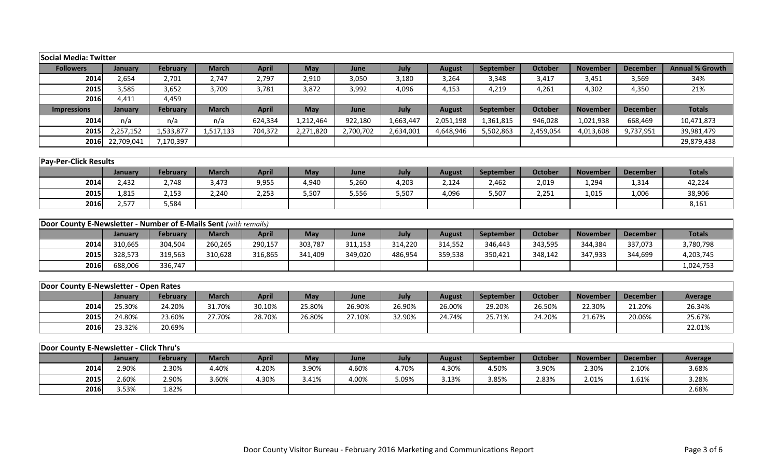| Social Media: Twitter                                            |            |                 |              |              |           |           |           |               |           |                |                 |                 |                        |
|------------------------------------------------------------------|------------|-----------------|--------------|--------------|-----------|-----------|-----------|---------------|-----------|----------------|-----------------|-----------------|------------------------|
| <b>Followers</b>                                                 | January    | <b>February</b> | <b>March</b> | <b>April</b> | May       | June      | July      | <b>August</b> | September | <b>October</b> | <b>November</b> | <b>December</b> | <b>Annual % Growth</b> |
| 2014                                                             | 2,654      | 2,701           | 2,747        | 2,797        | 2,910     | 3,050     | 3,180     | 3,264         | 3,348     | 3,417          | 3,451           | 3,569           | 34%                    |
| 2015                                                             | 3,585      | 3,652           | 3,709        | 3,781        | 3,872     | 3,992     | 4,096     | 4,153         | 4,219     | 4,261          | 4,302           | 4,350           | 21%                    |
| 2016                                                             | 4,411      | 4,459           |              |              |           |           |           |               |           |                |                 |                 |                        |
| <b>Impressions</b>                                               | January    | <b>February</b> | <b>March</b> | <b>April</b> | May       | June      | July      | <b>August</b> | September | <b>October</b> | <b>November</b> | <b>December</b> | <b>Totals</b>          |
| 2014                                                             | n/a        | n/a             | n/a          | 624,334      | 1,212,464 | 922,180   | 1,663,447 | 2,051,198     | 1,361,815 | 946,028        | 1,021,938       | 668,469         | 10,471,873             |
| 2015                                                             | 2,257,152  | 1,533,877       | 1,517,133    | 704,372      | 2,271,820 | 2,700,702 | 2,634,001 | 4,648,946     | 5,502,863 | 2,459,054      | 4,013,608       | 9,737,951       | 39,981,479             |
| 2016                                                             | 22,709,041 | 7,170,397       |              |              |           |           |           |               |           |                |                 |                 | 29,879,438             |
|                                                                  |            |                 |              |              |           |           |           |               |           |                |                 |                 |                        |
| <b>Pay-Per-Click Results</b>                                     |            |                 |              |              |           |           |           |               |           |                |                 |                 |                        |
|                                                                  | January    | <b>February</b> | <b>March</b> | <b>April</b> | May       | June      | July      | <b>August</b> | September | <b>October</b> | <b>November</b> | <b>December</b> | <b>Totals</b>          |
| 2014                                                             | 2,432      | 2,748           | 3,473        | 9,955        | 4,940     | 5,260     | 4,203     | 2,124         | 2,462     | 2,019          | 1,294           | 1,314           | 42,224                 |
| 2015                                                             | 1,815      | 2,153           | 2,240        | 2,253        | 5,507     | 5,556     | 5,507     | 4,096         | 5,507     | 2,251          | 1,015           | 1,006           | 38,906                 |
| 2016                                                             | 2,577      | 5,584           |              |              |           |           |           |               |           |                |                 |                 | 8,161                  |
|                                                                  |            |                 |              |              |           |           |           |               |           |                |                 |                 |                        |
| Door County E-Newsletter - Number of E-Mails Sent (with remails) |            |                 |              |              |           |           |           |               |           |                |                 |                 |                        |
|                                                                  | January    | <b>February</b> | <b>March</b> | <b>April</b> | May       | June      | July      | <b>August</b> | September | <b>October</b> | <b>November</b> | <b>December</b> | <b>Totals</b>          |
| 2014                                                             | 310,665    | 304,504         | 260,265      | 290,157      | 303,787   | 311,153   | 314,220   | 314,552       | 346,443   | 343,595        | 344,384         | 337,073         | 3,780,798              |
| 2015                                                             | 328,573    | 319,563         | 310,628      | 316,865      | 341,409   | 349,020   | 486,954   | 359,538       | 350,421   | 348,142        | 347,933         | 344,699         | 4,203,745              |
| 2016                                                             | 688,006    | 336,747         |              |              |           |           |           |               |           |                |                 |                 | 1,024,753              |
|                                                                  |            |                 |              |              |           |           |           |               |           |                |                 |                 |                        |
| Door County E-Newsletter - Open Rates                            |            |                 |              |              |           |           |           |               |           |                |                 |                 |                        |
|                                                                  | January    | <b>February</b> | <b>March</b> | <b>April</b> | May       | June      | July      | <b>August</b> | September | <b>October</b> | <b>November</b> | <b>December</b> | <b>Average</b>         |
| 2014                                                             | 25.30%     | 24.20%          | 31.70%       | 30.10%       | 25.80%    | 26.90%    | 26.90%    | 26.00%        | 29.20%    | 26.50%         | 22.30%          | 21.20%          | 26.34%                 |
| 2015                                                             | 24.80%     | 23.60%          | 27.70%       | 28.70%       | 26.80%    | 27.10%    | 32.90%    | 24.74%        | 25.71%    | 24.20%         | 21.67%          | 20.06%          | 25.67%                 |
| 2016                                                             | 23.32%     | 20.69%          |              |              |           |           |           |               |           |                |                 |                 | 22.01%                 |
| Door County E-Newsletter - Click Thru's                          |            |                 |              |              |           |           |           |               |           |                |                 |                 |                        |
|                                                                  | January    | <b>February</b> | <b>March</b> | <b>April</b> | May       | June      | July      | <b>August</b> | September | <b>October</b> | <b>November</b> | <b>December</b> | <b>Average</b>         |
| 2014                                                             | 2.90%      | 2.30%           | 4.40%        | 4.20%        | 3.90%     | 4.60%     | 4.70%     | 4.30%         | 4.50%     | 3.90%          | 2.30%           | 2.10%           | 3.68%                  |
| 2015                                                             | 2.60%      | 2.90%           | 3.60%        | 4.30%        | 3.41%     | 4.00%     | 5.09%     | 3.13%         | 3.85%     | 2.83%          | 2.01%           | 1.61%           | 3.28%                  |
|                                                                  |            |                 |              |              |           |           |           |               |           |                |                 |                 |                        |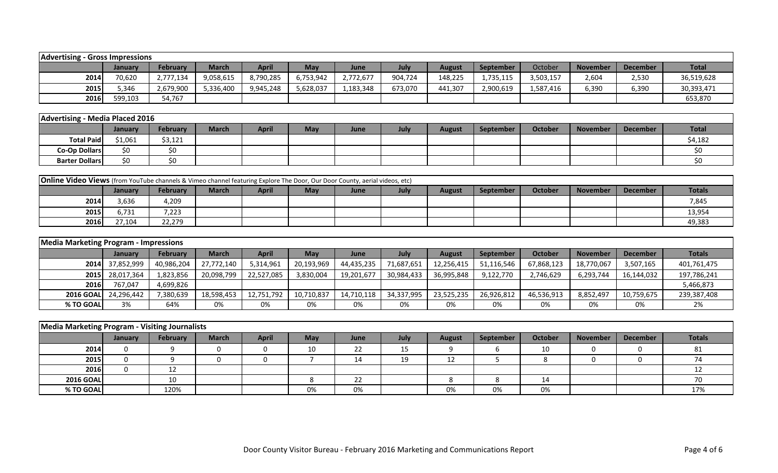|                                                                                                                                                             | <b>Advertising - Gross Impressions</b> |           |           |           |           |           |         |         |           |           |       |       |            |  |
|-------------------------------------------------------------------------------------------------------------------------------------------------------------|----------------------------------------|-----------|-----------|-----------|-----------|-----------|---------|---------|-----------|-----------|-------|-------|------------|--|
| <b>Total</b><br>April<br>October<br>February<br>July<br>March<br><b>May</b><br>September<br><b>November</b><br><b>December</b><br>August<br>June<br>Januarv |                                        |           |           |           |           |           |         |         |           |           |       |       |            |  |
| 2014                                                                                                                                                        | 70,620                                 | 2,777,134 | 9,058,615 | 8,790,285 | 6,753,942 | 2,772,677 | 904,724 | 148,225 | 1,735,115 | 3,503,157 | 2,604 | 2,530 | 36,519,628 |  |
| 2015                                                                                                                                                        | 5.346                                  | 2,679,900 | 5,336,400 | 9,945,248 | 5,628,037 | 1,183,348 | 673,070 | 441,307 | 2,900,619 | 1,587,416 | 6,390 | 6,390 | 30,393,471 |  |
| 2016                                                                                                                                                        | 599,103                                | 54,767    |           |           |           |           |         |         |           |           |       |       | 653,870    |  |

| Advertising -                                                                                                                                                             | - Media Placed 2016 |         |  |  |  |  |  |  |  |  |  |  |         |  |
|---------------------------------------------------------------------------------------------------------------------------------------------------------------------------|---------------------|---------|--|--|--|--|--|--|--|--|--|--|---------|--|
| <b>April</b><br>Total<br>February<br>July<br>October<br><b>March</b><br><b>May</b><br><b>September</b><br>December<br><b>November</b><br>June<br>August<br><b>January</b> |                     |         |  |  |  |  |  |  |  |  |  |  |         |  |
| <b>Total Paid</b>                                                                                                                                                         | \$1,061             | \$3,121 |  |  |  |  |  |  |  |  |  |  | \$4,182 |  |
| <b>Co-Op Dollars</b>                                                                                                                                                      | ¢Λ                  |         |  |  |  |  |  |  |  |  |  |  |         |  |
| <b>Barter Dollars</b>                                                                                                                                                     | ςu                  |         |  |  |  |  |  |  |  |  |  |  |         |  |

|                                    | <b>Online Video Views</b> (from YouTube channels & Vimeo channel featuring Explore The Door, Our Door County, aerial videos, etc)                                          |       |  |  |  |  |  |  |  |  |  |  |        |  |  |
|------------------------------------|----------------------------------------------------------------------------------------------------------------------------------------------------------------------------|-------|--|--|--|--|--|--|--|--|--|--|--------|--|--|
|                                    | <b>Totals</b><br>April<br>October<br><b>February</b><br>July<br><b>March</b><br>Mav<br><b>September</b><br>December<br><b>November</b><br>June<br>August<br><b>January</b> |       |  |  |  |  |  |  |  |  |  |  |        |  |  |
| 2014                               | 3,636                                                                                                                                                                      | 4,209 |  |  |  |  |  |  |  |  |  |  | 7,845  |  |  |
| 2015                               | 5.731                                                                                                                                                                      | 7,223 |  |  |  |  |  |  |  |  |  |  | 13,954 |  |  |
| 2016<br>27,104<br>22,279<br>49,383 |                                                                                                                                                                            |       |  |  |  |  |  |  |  |  |  |  |        |  |  |

| <b>Media Marketing Program - Impressions</b> |                 |                 |              |              |            |            |            |               |                  |            |                 |                 |             |
|----------------------------------------------|-----------------|-----------------|--------------|--------------|------------|------------|------------|---------------|------------------|------------|-----------------|-----------------|-------------|
|                                              | <b>January</b>  | <b>February</b> | <b>March</b> | <b>April</b> | May        | June       | July       | <b>August</b> | <b>September</b> | October    | <b>November</b> | <b>December</b> | Totals      |
|                                              | 2014 37,852,999 | 40,986,204      | 27,772,140   | 5,314,961    | 20,193,969 | 44,435,235 | 71,687,651 | 12,256,415    | 51,116,546       | 67,868,123 | 18,770,067      | 3,507,165       | 401,761,475 |
|                                              | 2015 28,017,364 | 1,823,856       | 20,098,799   | 22,527,085   | 3,830,004  | 19,201,677 | 30,984,433 | 36,995,848    | 9,122,770        | 2,746,629  | 6,293,744       | 16,144,032      | 197,786,241 |
| 2016                                         | 767,047         | 4,699,826       |              |              |            |            |            |               |                  |            |                 |                 | 5,466,873   |
| <b>2016 GOAL</b>                             | 24.296.442      | 7,380,639       | 18,598,453   | 12,751,792   | 10,710,837 | 14,710,118 | 34,337,995 | 23,525,235    | 26,926,812       | 46,536,913 | 8,852,497       | 10,759,675      | 239,387,408 |
| % TO GOAL                                    | 3%              | 64%             | 0%           | 0%           | 0%         | 0%         | 0%         | 0%            | 0%               | 0%         | 0%              | 0%              | 2%          |

|                                                        | Media Marketing Program - Visiting Journalists                                                                                                                                           |    |  |  |    |    |          |    |  |    |  |  |    |  |
|--------------------------------------------------------|------------------------------------------------------------------------------------------------------------------------------------------------------------------------------------------|----|--|--|----|----|----------|----|--|----|--|--|----|--|
|                                                        | Totals<br><b>April</b><br><b>May</b><br><b>October</b><br><b>February</b><br>July<br><b>March</b><br>September<br><b>November</b><br><b>December</b><br>June<br>January<br><b>August</b> |    |  |  |    |    |          |    |  |    |  |  |    |  |
| 2014                                                   |                                                                                                                                                                                          |    |  |  | 10 | 22 | 15<br>ر⊥ |    |  | 10 |  |  | 81 |  |
| 2015                                                   |                                                                                                                                                                                          |    |  |  |    | 14 | 19       | 12 |  |    |  |  |    |  |
| 2016                                                   |                                                                                                                                                                                          | 12 |  |  |    |    |          |    |  |    |  |  |    |  |
| <b>2016 GOAL</b>                                       |                                                                                                                                                                                          | 10 |  |  |    | 22 |          |    |  | 14 |  |  |    |  |
| % TO GOAL<br>120%<br>0%<br>0%<br>17%<br>0%<br>0%<br>0% |                                                                                                                                                                                          |    |  |  |    |    |          |    |  |    |  |  |    |  |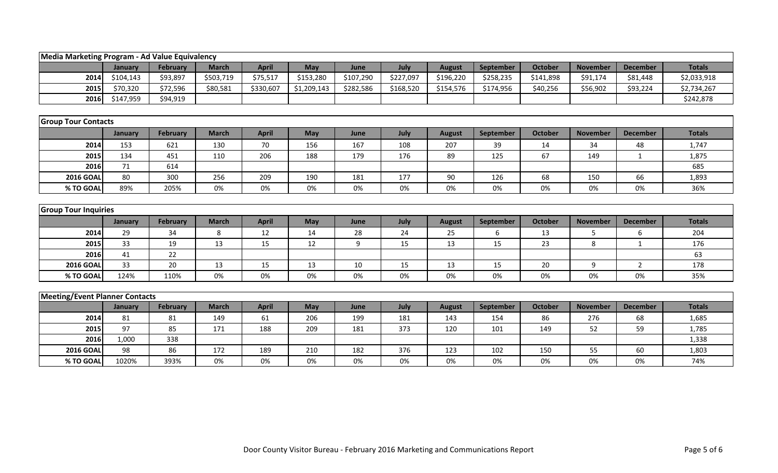| Media Marketing Program - Ad Value Equivalency |           |                 |              |              |             |           |           |               |                  |                |                 |                 |               |
|------------------------------------------------|-----------|-----------------|--------------|--------------|-------------|-----------|-----------|---------------|------------------|----------------|-----------------|-----------------|---------------|
|                                                | January   | <b>February</b> | <b>March</b> | <b>April</b> | May         | June      | July      | <b>August</b> | September        | <b>October</b> | <b>November</b> | <b>December</b> | <b>Totals</b> |
| 2014                                           | \$104,143 | \$93,897        | \$503,719    | \$75,517     | \$153,280   | \$107,290 | \$227,097 | \$196,220     | \$258,235        | \$141,898      | \$91,174        | \$81,448        | \$2,033,918   |
| 2015                                           | \$70,320  | \$72,596        | \$80,581     | \$330,607    | \$1,209,143 | \$282,586 | \$168,520 | \$154,576     | \$174,956        | \$40,256       | \$56,902        | \$93,224        | \$2,734,267   |
| 2016                                           | \$147,959 | \$94,919        |              |              |             |           |           |               |                  |                |                 |                 | \$242,878     |
|                                                |           |                 |              |              |             |           |           |               |                  |                |                 |                 |               |
| <b>Group Tour Contacts</b>                     |           |                 |              |              |             |           |           |               |                  |                |                 |                 |               |
|                                                | January   | <b>February</b> | <b>March</b> | <b>April</b> | May         | June      | July      | <b>August</b> | <b>September</b> | <b>October</b> | <b>November</b> | <b>December</b> | <b>Totals</b> |
| 2014                                           | 153       | 621             | 130          | 70           | 156         | 167       | 108       | 207           | 39               | 14             | 34              | 48              | 1,747         |
| 2015                                           | 134       | 451             | 110          | 206          | 188         | 179       | 176       | 89            | 125              | 67             | 149             | $\mathbf{1}$    | 1,875         |
| 2016                                           | 71        | 614             |              |              |             |           |           |               |                  |                |                 |                 | 685           |
| <b>2016 GOAL</b>                               | 80        | 300             | 256          | 209          | 190         | 181       | 177       | 90            | 126              | 68             | 150             | 66              | 1,893         |
| % TO GOAL                                      | 89%       | 205%            | 0%           | 0%           | 0%          | 0%        | 0%        | 0%            | 0%               | 0%             | 0%              | 0%              | 36%           |
|                                                |           |                 |              |              |             |           |           |               |                  |                |                 |                 |               |
| <b>Group Tour Inquiries</b>                    |           |                 |              |              |             |           |           |               |                  |                |                 |                 |               |
|                                                | January   | <b>February</b> | <b>March</b> | <b>April</b> | May         | June      | July      | <b>August</b> | September        | <b>October</b> | <b>November</b> | <b>December</b> | <b>Totals</b> |
| 2014                                           | 29        | 34              | 8            | 12           | 14          | 28        | 24        | 25            | 6                | 13             | 5               | 6               | 204           |
| 2015                                           | 33        | 19              | 13           | 15           | 12          | 9         | 15        | 13            | 15               | 23             | 8               | $\mathbf{1}$    | 176           |
| 2016                                           | 41        | 22              |              |              |             |           |           |               |                  |                |                 |                 | 63            |
| <b>2016 GOAL</b>                               | 33        | 20              | 13           | 15           | 13          | 10        | 15        | 13            | 15               | 20             | 9               | $\overline{2}$  | 178           |
| % TO GOAL                                      | 124%      | 110%            | 0%           | 0%           | 0%          | 0%        | 0%        | 0%            | 0%               | 0%             | 0%              | 0%              | 35%           |
|                                                |           |                 |              |              |             |           |           |               |                  |                |                 |                 |               |
| <b>Meeting/Event Planner Contacts</b>          |           |                 |              |              |             |           |           |               |                  |                |                 |                 |               |
|                                                | January   | <b>February</b> | <b>March</b> | <b>April</b> | May         | June      | July      | <b>August</b> | September        | <b>October</b> | <b>November</b> | <b>December</b> | <b>Totals</b> |
| 2014                                           | 81        | 81              | 149          | 61           | 206         | 199       | 181       | 143           | 154              | 86             | 276             | 68              | 1,685         |
| 2015                                           | 97        | 85              | 171          | 188          | 209         | 181       | 373       | 120           | 101              | 149            | 52              | 59              | 1,785         |
| 2016                                           | 1,000     | 338             |              |              |             |           |           |               |                  |                |                 |                 | 1,338         |
| <b>2016 GOAL</b>                               | 98        | 86              | 172          | 189          | 210         | 182       | 376       | 123           | 102              | 150            | 55              | 60              | 1,803         |
| % TO GOAL                                      | 1020%     | 393%            | 0%           | 0%           | 0%          | 0%        | 0%        | 0%            | 0%               | 0%             | 0%              | 0%              | 74%           |